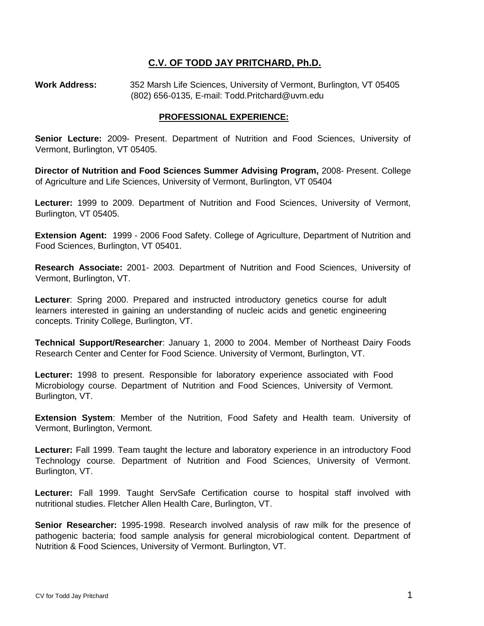### **C.V. OF TODD JAY PRITCHARD, Ph.D.**

**Work Address:** 352 Marsh Life Sciences, University of Vermont, Burlington, VT 05405 (802) 656-0135, E-mail: Todd.Pritchard@uvm.edu

#### **PROFESSIONAL EXPERIENCE:**

**Senior Lecture:** 2009- Present. Department of Nutrition and Food Sciences, University of Vermont, Burlington, VT 05405.

**Director of Nutrition and Food Sciences Summer Advising Program,** 2008- Present. College of Agriculture and Life Sciences, University of Vermont, Burlington, VT 05404

**Lecturer:** 1999 to 2009. Department of Nutrition and Food Sciences, University of Vermont, Burlington, VT 05405.

**Extension Agent:** 1999 - 2006 Food Safety. College of Agriculture, Department of Nutrition and Food Sciences, Burlington, VT 05401.

**Research Associate:** 2001- 2003. Department of Nutrition and Food Sciences, University of Vermont, Burlington, VT.

**Lecturer**: Spring 2000. Prepared and instructed introductory genetics course for adult learners interested in gaining an understanding of nucleic acids and genetic engineering concepts. Trinity College, Burlington, VT.

**Technical Support/Researcher**: January 1, 2000 to 2004. Member of Northeast Dairy Foods Research Center and Center for Food Science. University of Vermont, Burlington, VT.

**Lecturer:** 1998 to present. Responsible for laboratory experience associated with Food Microbiology course. Department of Nutrition and Food Sciences, University of Vermont. Burlington, VT.

**Extension System**: Member of the Nutrition, Food Safety and Health team. University of Vermont, Burlington, Vermont.

**Lecturer:** Fall 1999. Team taught the lecture and laboratory experience in an introductory Food Technology course. Department of Nutrition and Food Sciences, University of Vermont. Burlington, VT.

**Lecturer:** Fall 1999. Taught ServSafe Certification course to hospital staff involved with nutritional studies. Fletcher Allen Health Care, Burlington, VT.

**Senior Researcher:** 1995-1998. Research involved analysis of raw milk for the presence of pathogenic bacteria; food sample analysis for general microbiological content. Department of Nutrition & Food Sciences, University of Vermont. Burlington, VT.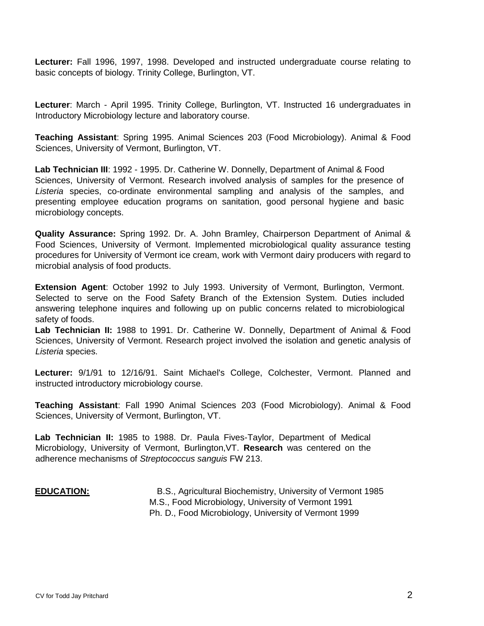**Lecturer:** Fall 1996, 1997, 1998. Developed and instructed undergraduate course relating to basic concepts of biology. Trinity College, Burlington, VT.

**Lecturer**: March - April 1995. Trinity College, Burlington, VT. Instructed 16 undergraduates in Introductory Microbiology lecture and laboratory course.

**Teaching Assistant**: Spring 1995. Animal Sciences 203 (Food Microbiology). Animal & Food Sciences, University of Vermont, Burlington, VT.

**Lab Technician III**: 1992 - 1995. Dr. Catherine W. Donnelly, Department of Animal & Food Sciences, University of Vermont. Research involved analysis of samples for the presence of *Listeria* species, co-ordinate environmental sampling and analysis of the samples, and presenting employee education programs on sanitation, good personal hygiene and basic microbiology concepts.

**Quality Assurance:** Spring 1992. Dr. A. John Bramley, Chairperson Department of Animal & Food Sciences, University of Vermont. Implemented microbiological quality assurance testing procedures for University of Vermont ice cream, work with Vermont dairy producers with regard to microbial analysis of food products.

**Extension Agent**: October 1992 to July 1993. University of Vermont, Burlington, Vermont. Selected to serve on the Food Safety Branch of the Extension System. Duties included answering telephone inquires and following up on public concerns related to microbiological safety of foods.

**Lab Technician II:** 1988 to 1991. Dr. Catherine W. Donnelly, Department of Animal & Food Sciences, University of Vermont. Research project involved the isolation and genetic analysis of *Listeria* species.

**Lecturer:** 9/1/91 to 12/16/91. Saint Michael's College, Colchester, Vermont. Planned and instructed introductory microbiology course.

**Teaching Assistant**: Fall 1990 Animal Sciences 203 (Food Microbiology). Animal & Food Sciences, University of Vermont, Burlington, VT.

**Lab Technician II:** 1985 to 1988. Dr. Paula Fives-Taylor, Department of Medical Microbiology, University of Vermont, Burlington,VT. **Research** was centered on the adherence mechanisms of *Streptococcus sanguis* FW 213.

#### **EDUCATION:** B.S., Agricultural Biochemistry, University of Vermont 1985 M.S., Food Microbiology, University of Vermont 1991 Ph. D., Food Microbiology, University of Vermont 1999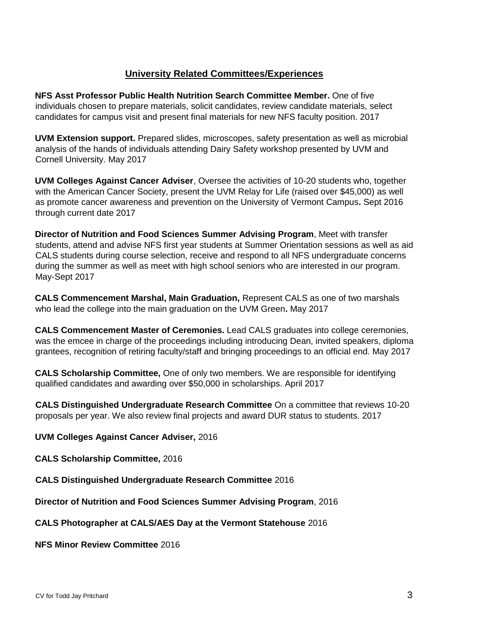# **University Related Committees/Experiences**

**NFS Asst Professor Public Health Nutrition Search Committee Member.** One of five individuals chosen to prepare materials, solicit candidates, review candidate materials, select candidates for campus visit and present final materials for new NFS faculty position. 2017

**UVM Extension support.** Prepared slides, microscopes, safety presentation as well as microbial analysis of the hands of individuals attending Dairy Safety workshop presented by UVM and Cornell University. May 2017

**UVM Colleges Against Cancer Adviser**, Oversee the activities of 10-20 students who, together with the American Cancer Society, present the UVM Relay for Life (raised over \$45,000) as well as promote cancer awareness and prevention on the University of Vermont Campus**.** Sept 2016 through current date 2017

**Director of Nutrition and Food Sciences Summer Advising Program**, Meet with transfer students, attend and advise NFS first year students at Summer Orientation sessions as well as aid CALS students during course selection, receive and respond to all NFS undergraduate concerns during the summer as well as meet with high school seniors who are interested in our program. May-Sept 2017

**CALS Commencement Marshal, Main Graduation,** Represent CALS as one of two marshals who lead the college into the main graduation on the UVM Green**.** May 2017

**CALS Commencement Master of Ceremonies.** Lead CALS graduates into college ceremonies, was the emcee in charge of the proceedings including introducing Dean, invited speakers, diploma grantees, recognition of retiring faculty/staff and bringing proceedings to an official end. May 2017

**CALS Scholarship Committee,** One of only two members. We are responsible for identifying qualified candidates and awarding over \$50,000 in scholarships. April 2017

**CALS Distinguished Undergraduate Research Committee** On a committee that reviews 10-20 proposals per year. We also review final projects and award DUR status to students. 2017

**UVM Colleges Against Cancer Adviser,** 2016

**CALS Scholarship Committee,** 2016

**CALS Distinguished Undergraduate Research Committee** 2016

**Director of Nutrition and Food Sciences Summer Advising Program**, 2016

**CALS Photographer at CALS/AES Day at the Vermont Statehouse** 2016

**NFS Minor Review Committee** 2016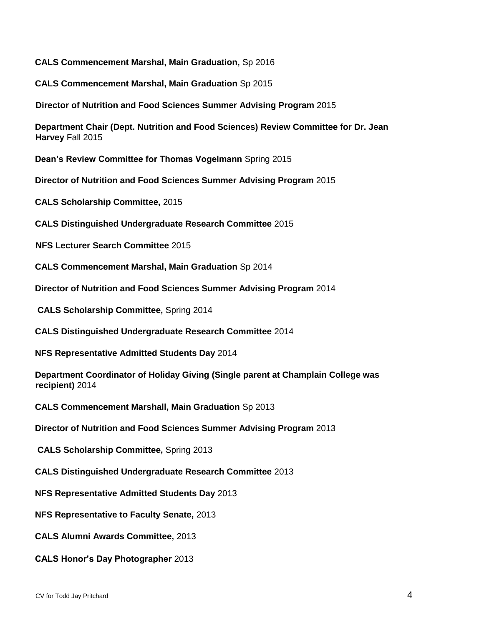**CALS Commencement Marshal, Main Graduation,** Sp 2016

**CALS Commencement Marshal, Main Graduation** Sp 2015

**Director of Nutrition and Food Sciences Summer Advising Program** 2015

**Department Chair (Dept. Nutrition and Food Sciences) Review Committee for Dr. Jean Harvey** Fall 2015

**Dean's Review Committee for Thomas Vogelmann** Spring 2015

**Director of Nutrition and Food Sciences Summer Advising Program** 2015

**CALS Scholarship Committee,** 2015

**CALS Distinguished Undergraduate Research Committee** 2015

**NFS Lecturer Search Committee** 2015

**CALS Commencement Marshal, Main Graduation** Sp 2014

**Director of Nutrition and Food Sciences Summer Advising Program** 2014

**CALS Scholarship Committee,** Spring 2014

**CALS Distinguished Undergraduate Research Committee** 2014

**NFS Representative Admitted Students Day** 2014

**Department Coordinator of Holiday Giving (Single parent at Champlain College was recipient)** 2014

**CALS Commencement Marshall, Main Graduation** Sp 2013

**Director of Nutrition and Food Sciences Summer Advising Program** 2013

**CALS Scholarship Committee,** Spring 2013

**CALS Distinguished Undergraduate Research Committee** 2013

**NFS Representative Admitted Students Day** 2013

**NFS Representative to Faculty Senate,** 2013

**CALS Alumni Awards Committee,** 2013

**CALS Honor's Day Photographer** 2013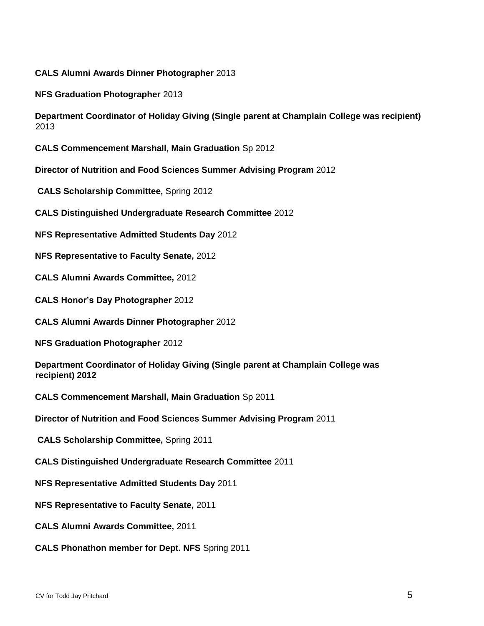**CALS Alumni Awards Dinner Photographer** 2013

**NFS Graduation Photographer** 2013

**Department Coordinator of Holiday Giving (Single parent at Champlain College was recipient)**  2013

**CALS Commencement Marshall, Main Graduation** Sp 2012

**Director of Nutrition and Food Sciences Summer Advising Program** 2012

**CALS Scholarship Committee,** Spring 2012

**CALS Distinguished Undergraduate Research Committee** 2012

**NFS Representative Admitted Students Day** 2012

**NFS Representative to Faculty Senate,** 2012

**CALS Alumni Awards Committee,** 2012

**CALS Honor's Day Photographer** 2012

**CALS Alumni Awards Dinner Photographer** 2012

**NFS Graduation Photographer** 2012

**Department Coordinator of Holiday Giving (Single parent at Champlain College was recipient) 2012** 

**CALS Commencement Marshall, Main Graduation** Sp 2011

**Director of Nutrition and Food Sciences Summer Advising Program** 2011

**CALS Scholarship Committee,** Spring 2011

**CALS Distinguished Undergraduate Research Committee** 2011

**NFS Representative Admitted Students Day** 2011

**NFS Representative to Faculty Senate,** 2011

**CALS Alumni Awards Committee,** 2011

**CALS Phonathon member for Dept. NFS** Spring 2011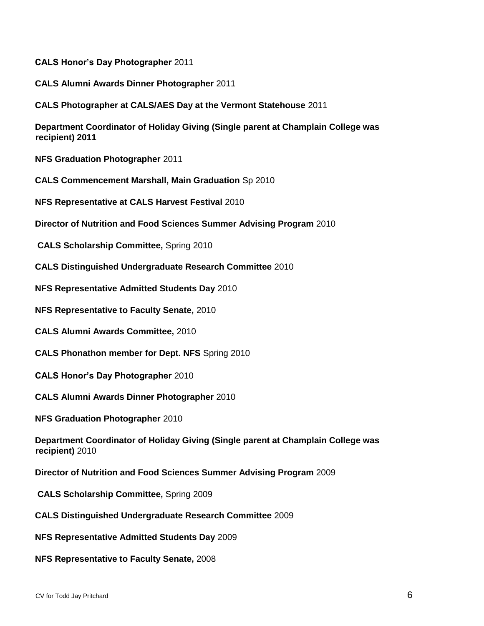**CALS Honor's Day Photographer** 2011

**CALS Alumni Awards Dinner Photographer** 2011

**CALS Photographer at CALS/AES Day at the Vermont Statehouse** 2011

**Department Coordinator of Holiday Giving (Single parent at Champlain College was recipient) 2011** 

**NFS Graduation Photographer** 2011

**CALS Commencement Marshall, Main Graduation** Sp 2010

**NFS Representative at CALS Harvest Festival** 2010

**Director of Nutrition and Food Sciences Summer Advising Program** 2010

**CALS Scholarship Committee,** Spring 2010

**CALS Distinguished Undergraduate Research Committee** 2010

**NFS Representative Admitted Students Day** 2010

**NFS Representative to Faculty Senate,** 2010

**CALS Alumni Awards Committee,** 2010

**CALS Phonathon member for Dept. NFS** Spring 2010

**CALS Honor's Day Photographer** 2010

**CALS Alumni Awards Dinner Photographer** 2010

**NFS Graduation Photographer** 2010

**Department Coordinator of Holiday Giving (Single parent at Champlain College was recipient)** 2010

**Director of Nutrition and Food Sciences Summer Advising Program** 2009

**CALS Scholarship Committee,** Spring 2009

**CALS Distinguished Undergraduate Research Committee** 2009

**NFS Representative Admitted Students Day** 2009

**NFS Representative to Faculty Senate,** 2008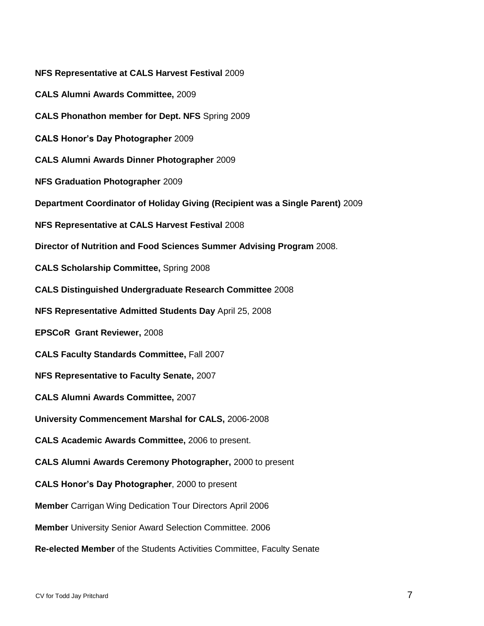**NFS Representative at CALS Harvest Festival** 2009 **CALS Alumni Awards Committee,** 2009 **CALS Phonathon member for Dept. NFS** Spring 2009 **CALS Honor's Day Photographer** 2009 **CALS Alumni Awards Dinner Photographer** 2009 **NFS Graduation Photographer** 2009 **Department Coordinator of Holiday Giving (Recipient was a Single Parent)** 2009 **NFS Representative at CALS Harvest Festival** 2008 **Director of Nutrition and Food Sciences Summer Advising Program** 2008. **CALS Scholarship Committee,** Spring 2008 **CALS Distinguished Undergraduate Research Committee** 2008 **NFS Representative Admitted Students Day** April 25, 2008 **EPSCoR Grant Reviewer,** 2008 **CALS Faculty Standards Committee,** Fall 2007 **NFS Representative to Faculty Senate,** 2007 **CALS Alumni Awards Committee,** 2007 **University Commencement Marshal for CALS,** 2006-2008 **CALS Academic Awards Committee,** 2006 to present. **CALS Alumni Awards Ceremony Photographer,** 2000 to present **CALS Honor's Day Photographer**, 2000 to present **Member** Carrigan Wing Dedication Tour Directors April 2006 **Member** University Senior Award Selection Committee. 2006 **Re-elected Member** of the Students Activities Committee, Faculty Senate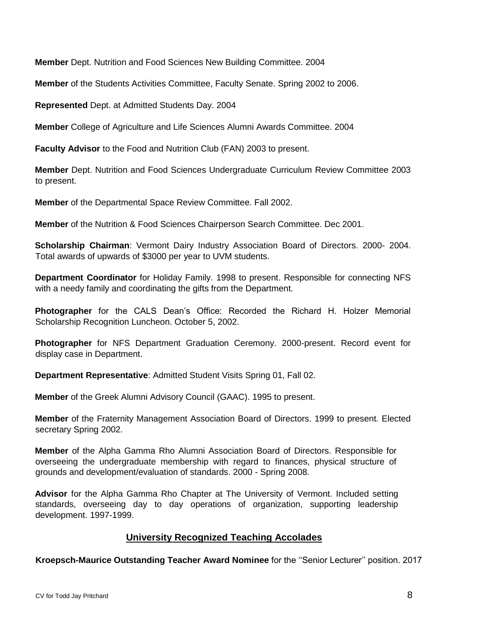**Member** Dept. Nutrition and Food Sciences New Building Committee. 2004

**Member** of the Students Activities Committee, Faculty Senate. Spring 2002 to 2006.

**Represented** Dept. at Admitted Students Day. 2004

**Member** College of Agriculture and Life Sciences Alumni Awards Committee. 2004

**Faculty Advisor** to the Food and Nutrition Club (FAN) 2003 to present.

**Member** Dept. Nutrition and Food Sciences Undergraduate Curriculum Review Committee 2003 to present.

**Member** of the Departmental Space Review Committee. Fall 2002.

**Member** of the Nutrition & Food Sciences Chairperson Search Committee. Dec 2001.

**Scholarship Chairman**: Vermont Dairy Industry Association Board of Directors. 2000- 2004. Total awards of upwards of \$3000 per year to UVM students.

**Department Coordinator** for Holiday Family. 1998 to present. Responsible for connecting NFS with a needy family and coordinating the gifts from the Department.

**Photographer** for the CALS Dean's Office: Recorded the Richard H. Holzer Memorial Scholarship Recognition Luncheon. October 5, 2002.

**Photographer** for NFS Department Graduation Ceremony. 2000-present. Record event for display case in Department.

**Department Representative**: Admitted Student Visits Spring 01, Fall 02.

**Member** of the Greek Alumni Advisory Council (GAAC). 1995 to present.

**Member** of the Fraternity Management Association Board of Directors. 1999 to present. Elected secretary Spring 2002.

**Member** of the Alpha Gamma Rho Alumni Association Board of Directors. Responsible for overseeing the undergraduate membership with regard to finances, physical structure of grounds and development/evaluation of standards. 2000 - Spring 2008.

**Advisor** for the Alpha Gamma Rho Chapter at The University of Vermont. Included setting standards, overseeing day to day operations of organization, supporting leadership development. 1997-1999.

#### **University Recognized Teaching Accolades**

**Kroepsch-Maurice Outstanding Teacher Award Nominee** for the ''Senior Lecturer'' position. 2017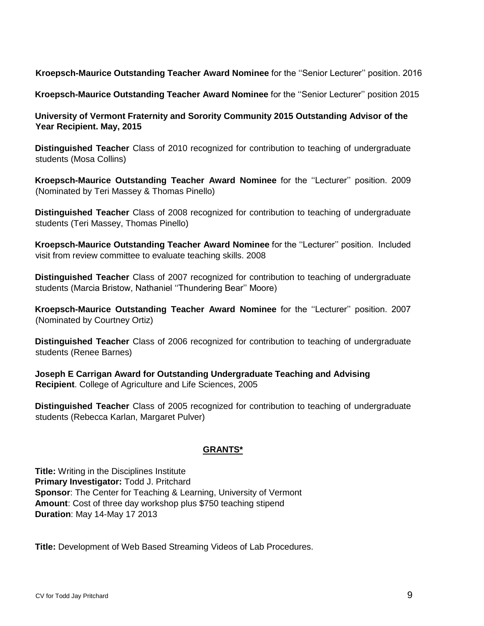**Kroepsch-Maurice Outstanding Teacher Award Nominee** for the ''Senior Lecturer'' position. 2016

**Kroepsch-Maurice Outstanding Teacher Award Nominee** for the ''Senior Lecturer'' position 2015

**University of Vermont Fraternity and Sorority Community 2015 Outstanding Advisor of the Year Recipient. May, 2015** 

**Distinguished Teacher** Class of 2010 recognized for contribution to teaching of undergraduate students (Mosa Collins)

**Kroepsch-Maurice Outstanding Teacher Award Nominee** for the ''Lecturer'' position. 2009 (Nominated by Teri Massey & Thomas Pinello)

**Distinguished Teacher** Class of 2008 recognized for contribution to teaching of undergraduate students (Teri Massey, Thomas Pinello)

**Kroepsch-Maurice Outstanding Teacher Award Nominee** for the ''Lecturer'' position. Included visit from review committee to evaluate teaching skills. 2008

**Distinguished Teacher** Class of 2007 recognized for contribution to teaching of undergraduate students (Marcia Bristow, Nathaniel ''Thundering Bear'' Moore)

**Kroepsch-Maurice Outstanding Teacher Award Nominee** for the ''Lecturer'' position. 2007 (Nominated by Courtney Ortiz)

**Distinguished Teacher** Class of 2006 recognized for contribution to teaching of undergraduate students (Renee Barnes)

**Joseph E Carrigan Award for Outstanding Undergraduate Teaching and Advising Recipient**. College of Agriculture and Life Sciences, 2005

**Distinguished Teacher** Class of 2005 recognized for contribution to teaching of undergraduate students (Rebecca Karlan, Margaret Pulver)

## **GRANTS\***

**Title:** Writing in the Disciplines Institute **Primary Investigator:** Todd J. Pritchard **Sponsor**: The Center for Teaching & Learning, University of Vermont **Amount**: Cost of three day workshop plus \$750 teaching stipend **Duration**: May 14-May 17 2013

**Title:** Development of Web Based Streaming Videos of Lab Procedures.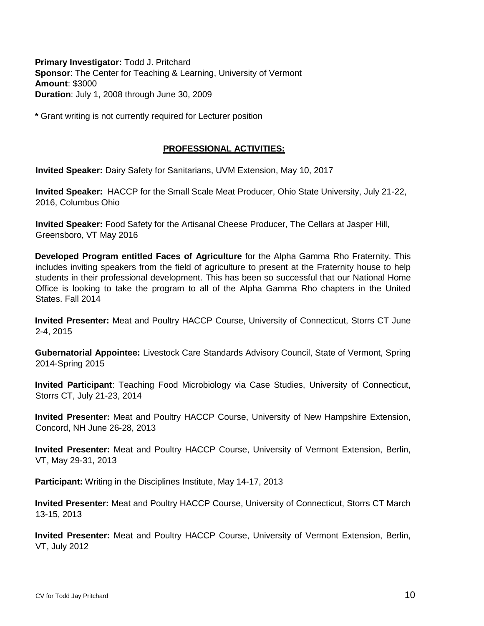**Primary Investigator:** Todd J. Pritchard **Sponsor**: The Center for Teaching & Learning, University of Vermont **Amount**: \$3000 **Duration**: July 1, 2008 through June 30, 2009

**\*** Grant writing is not currently required for Lecturer position

### **PROFESSIONAL ACTIVITIES:**

**Invited Speaker:** Dairy Safety for Sanitarians, UVM Extension, May 10, 2017

**Invited Speaker:** HACCP for the Small Scale Meat Producer, Ohio State University, July 21-22, 2016, Columbus Ohio

**Invited Speaker:** Food Safety for the Artisanal Cheese Producer, The Cellars at Jasper Hill, Greensboro, VT May 2016

**Developed Program entitled Faces of Agriculture** for the Alpha Gamma Rho Fraternity. This includes inviting speakers from the field of agriculture to present at the Fraternity house to help students in their professional development. This has been so successful that our National Home Office is looking to take the program to all of the Alpha Gamma Rho chapters in the United States. Fall 2014

**Invited Presenter:** Meat and Poultry HACCP Course, University of Connecticut, Storrs CT June 2-4, 2015

**Gubernatorial Appointee:** Livestock Care Standards Advisory Council, State of Vermont, Spring 2014-Spring 2015

**Invited Participant**: Teaching Food Microbiology via Case Studies, University of Connecticut, Storrs CT, July 21-23, 2014

**Invited Presenter:** Meat and Poultry HACCP Course, University of New Hampshire Extension, Concord, NH June 26-28, 2013

**Invited Presenter:** Meat and Poultry HACCP Course, University of Vermont Extension, Berlin, VT, May 29-31, 2013

**Participant:** Writing in the Disciplines Institute, May 14-17, 2013

**Invited Presenter:** Meat and Poultry HACCP Course, University of Connecticut, Storrs CT March 13-15, 2013

**Invited Presenter:** Meat and Poultry HACCP Course, University of Vermont Extension, Berlin, VT, July 2012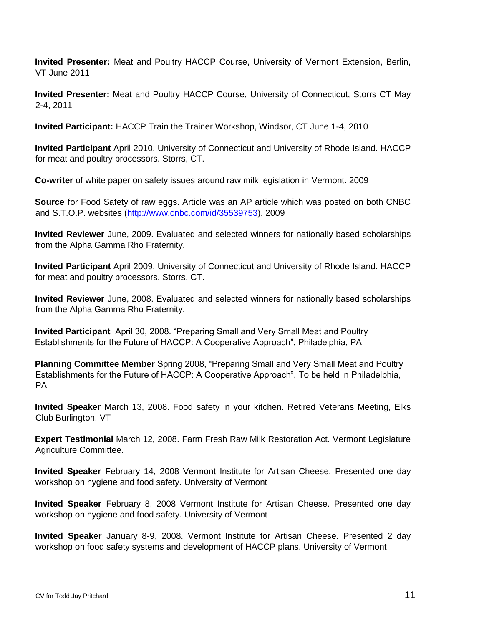**Invited Presenter:** Meat and Poultry HACCP Course, University of Vermont Extension, Berlin, VT June 2011

**Invited Presenter:** Meat and Poultry HACCP Course, University of Connecticut, Storrs CT May 2-4, 2011

**Invited Participant:** HACCP Train the Trainer Workshop, Windsor, CT June 1-4, 2010

**Invited Participant** April 2010. University of Connecticut and University of Rhode Island. HACCP for meat and poultry processors. Storrs, CT.

**Co-writer** of white paper on safety issues around raw milk legislation in Vermont. 2009

**Source** for Food Safety of raw eggs. Article was an AP article which was posted on both CNBC and S.T.O.P. websites [\(http://www.cnbc.com/id/35539753\).](http://www.cnbc.com/id/35539753) 2009

**Invited Reviewer** June, 2009. Evaluated and selected winners for nationally based scholarships from the Alpha Gamma Rho Fraternity.

**Invited Participant** April 2009. University of Connecticut and University of Rhode Island. HACCP for meat and poultry processors. Storrs, CT.

**Invited Reviewer** June, 2008. Evaluated and selected winners for nationally based scholarships from the Alpha Gamma Rho Fraternity.

**Invited Participant** April 30, 2008. "Preparing Small and Very Small Meat and Poultry Establishments for the Future of HACCP: A Cooperative Approach", Philadelphia, PA

**Planning Committee Member** Spring 2008, "Preparing Small and Very Small Meat and Poultry Establishments for the Future of HACCP: A Cooperative Approach", To be held in Philadelphia, PA

**Invited Speaker** March 13, 2008. Food safety in your kitchen. Retired Veterans Meeting, Elks Club Burlington, VT

**Expert Testimonial** March 12, 2008. Farm Fresh Raw Milk Restoration Act. Vermont Legislature Agriculture Committee.

**Invited Speaker** February 14, 2008 Vermont Institute for Artisan Cheese. Presented one day workshop on hygiene and food safety. University of Vermont

**Invited Speaker** February 8, 2008 Vermont Institute for Artisan Cheese. Presented one day workshop on hygiene and food safety. University of Vermont

**Invited Speaker** January 8-9, 2008. Vermont Institute for Artisan Cheese. Presented 2 day workshop on food safety systems and development of HACCP plans. University of Vermont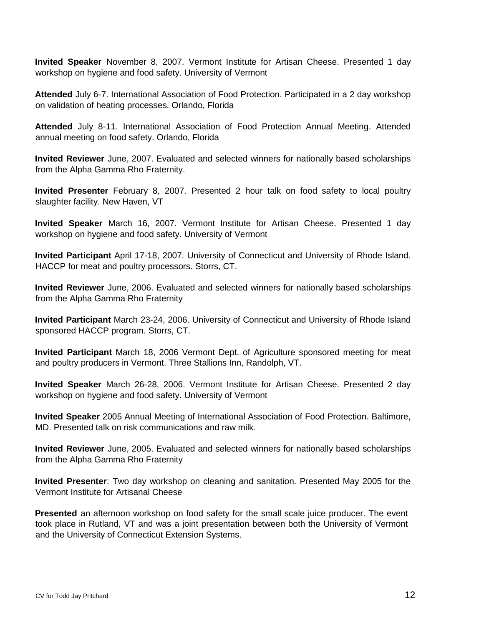**Invited Speaker** November 8, 2007. Vermont Institute for Artisan Cheese. Presented 1 day workshop on hygiene and food safety. University of Vermont

**Attended** July 6-7. International Association of Food Protection. Participated in a 2 day workshop on validation of heating processes. Orlando, Florida

**Attended** July 8-11. International Association of Food Protection Annual Meeting. Attended annual meeting on food safety. Orlando, Florida

**Invited Reviewer** June, 2007. Evaluated and selected winners for nationally based scholarships from the Alpha Gamma Rho Fraternity.

**Invited Presenter** February 8, 2007. Presented 2 hour talk on food safety to local poultry slaughter facility. New Haven, VT

**Invited Speaker** March 16, 2007. Vermont Institute for Artisan Cheese. Presented 1 day workshop on hygiene and food safety. University of Vermont

**Invited Participant** April 17-18, 2007. University of Connecticut and University of Rhode Island. HACCP for meat and poultry processors. Storrs, CT.

**Invited Reviewer** June, 2006. Evaluated and selected winners for nationally based scholarships from the Alpha Gamma Rho Fraternity

**Invited Participant** March 23-24, 2006. University of Connecticut and University of Rhode Island sponsored HACCP program. Storrs, CT.

**Invited Participant** March 18, 2006 Vermont Dept. of Agriculture sponsored meeting for meat and poultry producers in Vermont. Three Stallions Inn, Randolph, VT.

**Invited Speaker** March 26-28, 2006. Vermont Institute for Artisan Cheese. Presented 2 day workshop on hygiene and food safety. University of Vermont

**Invited Speaker** 2005 Annual Meeting of International Association of Food Protection. Baltimore, MD. Presented talk on risk communications and raw milk.

**Invited Reviewer** June, 2005. Evaluated and selected winners for nationally based scholarships from the Alpha Gamma Rho Fraternity

**Invited Presenter**: Two day workshop on cleaning and sanitation. Presented May 2005 for the Vermont Institute for Artisanal Cheese

**Presented** an afternoon workshop on food safety for the small scale juice producer. The event took place in Rutland, VT and was a joint presentation between both the University of Vermont and the University of Connecticut Extension Systems.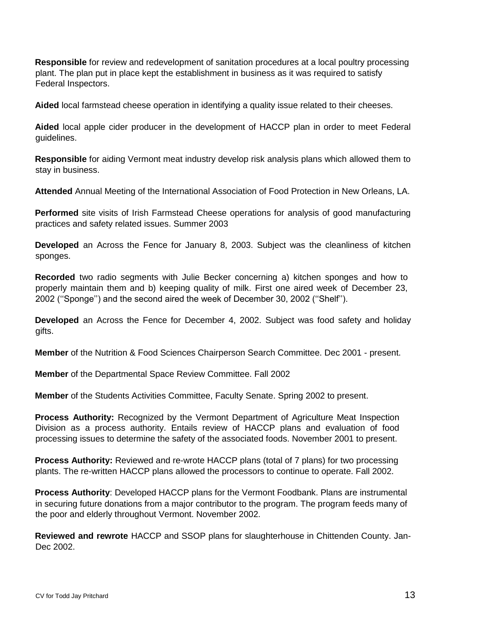**Responsible** for review and redevelopment of sanitation procedures at a local poultry processing plant. The plan put in place kept the establishment in business as it was required to satisfy Federal Inspectors.

**Aided** local farmstead cheese operation in identifying a quality issue related to their cheeses.

**Aided** local apple cider producer in the development of HACCP plan in order to meet Federal guidelines.

**Responsible** for aiding Vermont meat industry develop risk analysis plans which allowed them to stay in business.

**Attended** Annual Meeting of the International Association of Food Protection in New Orleans, LA.

**Performed** site visits of Irish Farmstead Cheese operations for analysis of good manufacturing practices and safety related issues. Summer 2003

**Developed** an Across the Fence for January 8, 2003. Subject was the cleanliness of kitchen sponges.

**Recorded** two radio segments with Julie Becker concerning a) kitchen sponges and how to properly maintain them and b) keeping quality of milk. First one aired week of December 23, 2002 (''Sponge'') and the second aired the week of December 30, 2002 (''Shelf'').

**Developed** an Across the Fence for December 4, 2002. Subject was food safety and holiday gifts.

**Member** of the Nutrition & Food Sciences Chairperson Search Committee. Dec 2001 - present.

**Member** of the Departmental Space Review Committee. Fall 2002

**Member** of the Students Activities Committee, Faculty Senate. Spring 2002 to present.

**Process Authority:** Recognized by the Vermont Department of Agriculture Meat Inspection Division as a process authority. Entails review of HACCP plans and evaluation of food processing issues to determine the safety of the associated foods. November 2001 to present.

**Process Authority:** Reviewed and re-wrote HACCP plans (total of 7 plans) for two processing plants. The re-written HACCP plans allowed the processors to continue to operate. Fall 2002.

**Process Authority**: Developed HACCP plans for the Vermont Foodbank. Plans are instrumental in securing future donations from a major contributor to the program. The program feeds many of the poor and elderly throughout Vermont. November 2002.

**Reviewed and rewrote** HACCP and SSOP plans for slaughterhouse in Chittenden County. Jan-Dec 2002.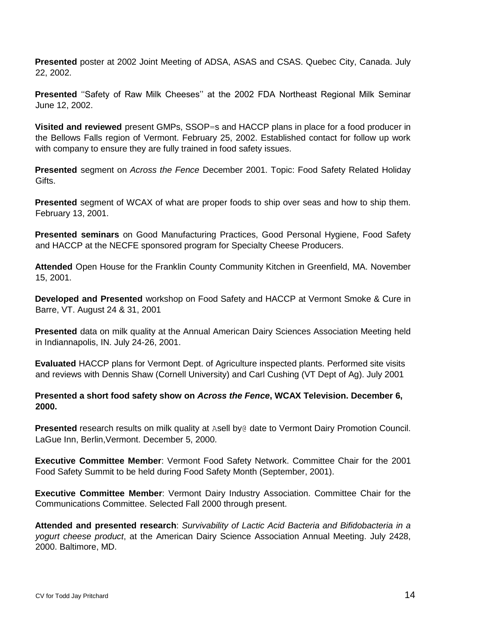**Presented** poster at 2002 Joint Meeting of ADSA, ASAS and CSAS. Quebec City, Canada. July 22, 2002.

**Presented** ''Safety of Raw Milk Cheeses'' at the 2002 FDA Northeast Regional Milk Seminar June 12, 2002.

**Visited and reviewed** present GMPs, SSOP=s and HACCP plans in place for a food producer in the Bellows Falls region of Vermont. February 25, 2002. Established contact for follow up work with company to ensure they are fully trained in food safety issues.

**Presented** segment on *Across the Fence* December 2001. Topic: Food Safety Related Holiday Gifts.

**Presented** segment of WCAX of what are proper foods to ship over seas and how to ship them. February 13, 2001.

**Presented seminars** on Good Manufacturing Practices, Good Personal Hygiene, Food Safety and HACCP at the NECFE sponsored program for Specialty Cheese Producers.

**Attended** Open House for the Franklin County Community Kitchen in Greenfield, MA. November 15, 2001.

**Developed and Presented** workshop on Food Safety and HACCP at Vermont Smoke & Cure in Barre, VT. August 24 & 31, 2001

**Presented** data on milk quality at the Annual American Dairy Sciences Association Meeting held in Indiannapolis, IN. July 24-26, 2001.

**Evaluated** HACCP plans for Vermont Dept. of Agriculture inspected plants. Performed site visits and reviews with Dennis Shaw (Cornell University) and Carl Cushing (VT Dept of Ag). July 2001

**Presented a short food safety show on** *Across the Fence***, WCAX Television. December 6, 2000.** 

**Presented** research results on milk quality at Asell by@ date to Vermont Dairy Promotion Council. LaGue Inn, Berlin,Vermont. December 5, 2000.

**Executive Committee Member**: Vermont Food Safety Network. Committee Chair for the 2001 Food Safety Summit to be held during Food Safety Month (September, 2001).

**Executive Committee Member**: Vermont Dairy Industry Association. Committee Chair for the Communications Committee. Selected Fall 2000 through present.

**Attended and presented research**: *Survivability of Lactic Acid Bacteria and Bifidobacteria in a yogurt cheese product*, at the American Dairy Science Association Annual Meeting. July 2428, 2000. Baltimore, MD.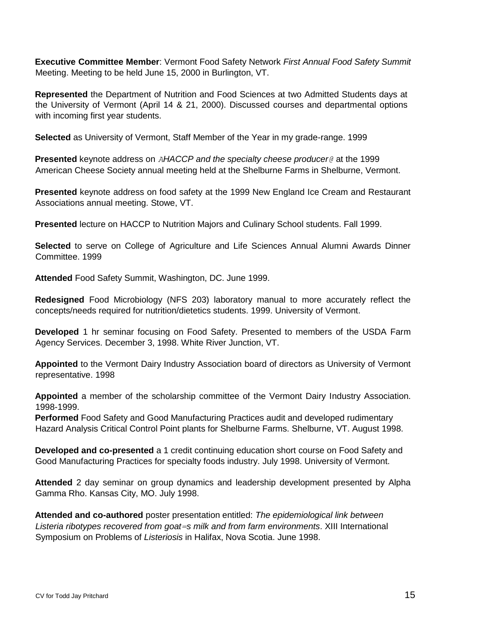**Executive Committee Member**: Vermont Food Safety Network *First Annual Food Safety Summit*  Meeting. Meeting to be held June 15, 2000 in Burlington, VT.

**Represented** the Department of Nutrition and Food Sciences at two Admitted Students days at the University of Vermont (April 14 & 21, 2000). Discussed courses and departmental options with incoming first year students.

**Selected** as University of Vermont, Staff Member of the Year in my grade-range. 1999

**Presented** keynote address on *AHACCP and the specialty cheese producer@* at the 1999 American Cheese Society annual meeting held at the Shelburne Farms in Shelburne, Vermont.

**Presented** keynote address on food safety at the 1999 New England Ice Cream and Restaurant Associations annual meeting. Stowe, VT.

**Presented** lecture on HACCP to Nutrition Majors and Culinary School students. Fall 1999.

**Selected** to serve on College of Agriculture and Life Sciences Annual Alumni Awards Dinner Committee. 1999

**Attended** Food Safety Summit, Washington, DC. June 1999.

**Redesigned** Food Microbiology (NFS 203) laboratory manual to more accurately reflect the concepts/needs required for nutrition/dietetics students. 1999. University of Vermont.

**Developed** 1 hr seminar focusing on Food Safety. Presented to members of the USDA Farm Agency Services. December 3, 1998. White River Junction, VT.

**Appointed** to the Vermont Dairy Industry Association board of directors as University of Vermont representative. 1998

**Appointed** a member of the scholarship committee of the Vermont Dairy Industry Association. 1998-1999.

**Performed** Food Safety and Good Manufacturing Practices audit and developed rudimentary Hazard Analysis Critical Control Point plants for Shelburne Farms. Shelburne, VT. August 1998.

**Developed and co-presented** a 1 credit continuing education short course on Food Safety and Good Manufacturing Practices for specialty foods industry. July 1998. University of Vermont.

**Attended** 2 day seminar on group dynamics and leadership development presented by Alpha Gamma Rho. Kansas City, MO. July 1998.

**Attended and co-authored** poster presentation entitled: *The epidemiological link between Listeria ribotypes recovered from goat=s milk and from farm environments*. XIII International Symposium on Problems of *Listeriosis* in Halifax, Nova Scotia. June 1998.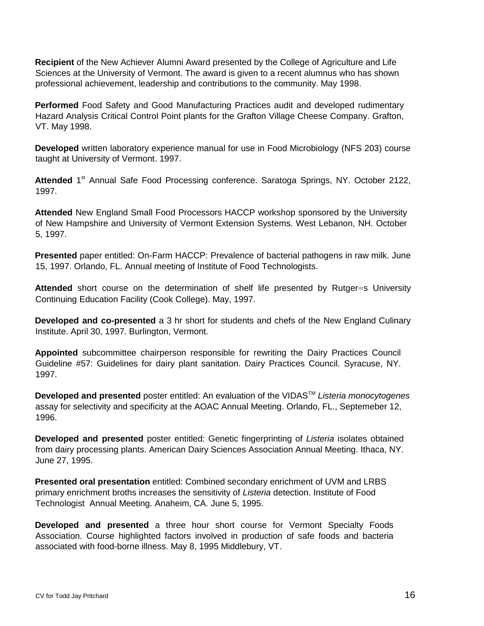**Recipient** of the New Achiever Alumni Award presented by the College of Agriculture and Life Sciences at the University of Vermont. The award is given to a recent alumnus who has shown professional achievement, leadership and contributions to the community. May 1998.

**Performed** Food Safety and Good Manufacturing Practices audit and developed rudimentary Hazard Analysis Critical Control Point plants for the Grafton Village Cheese Company. Grafton, VT. May 1998.

**Developed** written laboratory experience manual for use in Food Microbiology (NFS 203) course taught at University of Vermont. 1997.

Attended 1<sup>st</sup> Annual Safe Food Processing conference. Saratoga Springs, NY. October 2122, 1997.

**Attended** New England Small Food Processors HACCP workshop sponsored by the University of New Hampshire and University of Vermont Extension Systems. West Lebanon, NH. October 5, 1997.

**Presented** paper entitled: On-Farm HACCP: Prevalence of bacterial pathogens in raw milk. June 15, 1997. Orlando, FL. Annual meeting of Institute of Food Technologists.

**Attended** short course on the determination of shelf life presented by Rutger=s University Continuing Education Facility (Cook College). May, 1997.

**Developed and co-presented** a 3 hr short for students and chefs of the New England Culinary Institute. April 30, 1997. Burlington, Vermont.

**Appointed** subcommittee chairperson responsible for rewriting the Dairy Practices Council Guideline #57: Guidelines for dairy plant sanitation. Dairy Practices Council. Syracuse, NY. 1997.

**Developed and presented** poster entitled: An evaluation of the VIDAS™ *Listeria monocytogenes* assay for selectivity and specificity at the AOAC Annual Meeting. Orlando, FL., Septemeber 12, 1996.

**Developed and presented** poster entitled: Genetic fingerprinting of *Listeria* isolates obtained from dairy processing plants. American Dairy Sciences Association Annual Meeting. Ithaca, NY. June 27, 1995.

**Presented oral presentation** entitled: Combined secondary enrichment of UVM and LRBS primary enrichment broths increases the sensitivity of *Listeria* detection. Institute of Food Technologist Annual Meeting. Anaheim, CA. June 5, 1995.

**Developed and presented** a three hour short course for Vermont Specialty Foods Association. Course highlighted factors involved in production of safe foods and bacteria associated with food-borne illness. May 8, 1995 Middlebury, VT.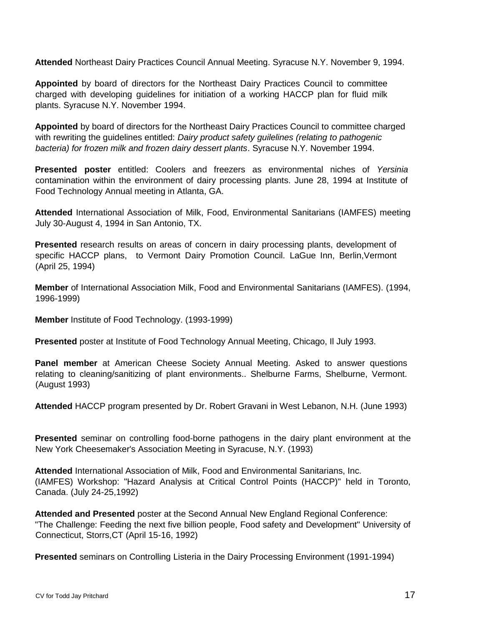**Attended** Northeast Dairy Practices Council Annual Meeting. Syracuse N.Y. November 9, 1994.

**Appointed** by board of directors for the Northeast Dairy Practices Council to committee charged with developing guidelines for initiation of a working HACCP plan for fluid milk plants. Syracuse N.Y. November 1994.

**Appointed** by board of directors for the Northeast Dairy Practices Council to committee charged with rewriting the guidelines entitled: *Dairy product safety guilelines (relating to pathogenic bacteria) for frozen milk and frozen dairy dessert plants*. Syracuse N.Y. November 1994.

**Presented poster** entitled: Coolers and freezers as environmental niches of *Yersinia* contamination within the environment of dairy processing plants. June 28, 1994 at Institute of Food Technology Annual meeting in Atlanta, GA.

**Attended** International Association of Milk, Food, Environmental Sanitarians (IAMFES) meeting July 30-August 4, 1994 in San Antonio, TX.

**Presented** research results on areas of concern in dairy processing plants, development of specific HACCP plans, to Vermont Dairy Promotion Council. LaGue Inn, Berlin,Vermont (April 25, 1994)

**Member** of International Association Milk, Food and Environmental Sanitarians (IAMFES). (1994, 1996-1999)

**Member** Institute of Food Technology. (1993-1999)

**Presented** poster at Institute of Food Technology Annual Meeting, Chicago, Il July 1993.

**Panel member** at American Cheese Society Annual Meeting. Asked to answer questions relating to cleaning/sanitizing of plant environments.. Shelburne Farms, Shelburne, Vermont. (August 1993)

**Attended** HACCP program presented by Dr. Robert Gravani in West Lebanon, N.H. (June 1993)

**Presented** seminar on controlling food-borne pathogens in the dairy plant environment at the New York Cheesemaker's Association Meeting in Syracuse, N.Y. (1993)

**Attended** International Association of Milk, Food and Environmental Sanitarians, Inc. (IAMFES) Workshop: "Hazard Analysis at Critical Control Points (HACCP)" held in Toronto, Canada. (July 24-25,1992)

**Attended and Presented** poster at the Second Annual New England Regional Conference: "The Challenge: Feeding the next five billion people, Food safety and Development" University of Connecticut, Storrs,CT (April 15-16, 1992)

**Presented** seminars on Controlling Listeria in the Dairy Processing Environment (1991-1994)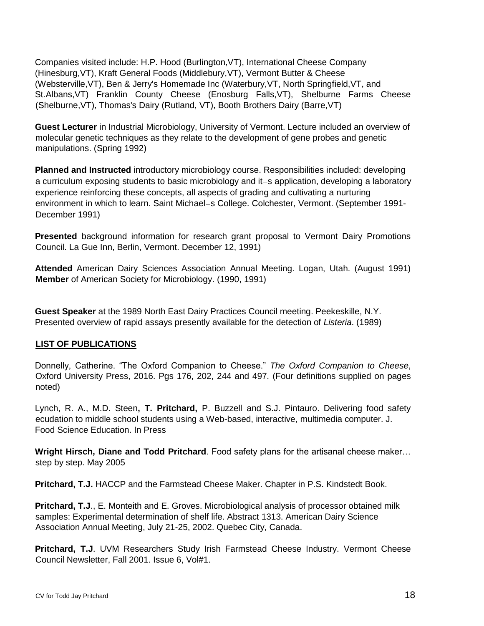Companies visited include: H.P. Hood (Burlington,VT), International Cheese Company (Hinesburg,VT), Kraft General Foods (Middlebury,VT), Vermont Butter & Cheese (Websterville,VT), Ben & Jerry's Homemade Inc (Waterbury,VT, North Springfield,VT, and St.Albans,VT) Franklin County Cheese (Enosburg Falls,VT), Shelburne Farms Cheese (Shelburne,VT), Thomas's Dairy (Rutland, VT), Booth Brothers Dairy (Barre,VT)

**Guest Lecturer** in Industrial Microbiology, University of Vermont. Lecture included an overview of molecular genetic techniques as they relate to the development of gene probes and genetic manipulations. (Spring 1992)

**Planned and Instructed** introductory microbiology course. Responsibilities included: developing a curriculum exposing students to basic microbiology and it=s application, developing a laboratory experience reinforcing these concepts, all aspects of grading and cultivating a nurturing environment in which to learn. Saint Michael=s College. Colchester, Vermont. (September 1991- December 1991)

**Presented** background information for research grant proposal to Vermont Dairy Promotions Council. La Gue Inn, Berlin, Vermont. December 12, 1991)

**Attended** American Dairy Sciences Association Annual Meeting. Logan, Utah. (August 1991) **Member** of American Society for Microbiology. (1990, 1991)

**Guest Speaker** at the 1989 North East Dairy Practices Council meeting. Peekeskille, N.Y. Presented overview of rapid assays presently available for the detection of *Listeria*. (1989)

## **LIST OF PUBLICATIONS**

Donnelly, Catherine. "The Oxford Companion to Cheese." *The Oxford Companion to Cheese*, Oxford University Press, 2016. Pgs 176, 202, 244 and 497. (Four definitions supplied on pages noted)

Lynch, R. A., M.D. Steen**, T. Pritchard,** P. Buzzell and S.J. Pintauro. Delivering food safety ecudation to middle school students using a Web-based, interactive, multimedia computer. J. Food Science Education. In Press

**Wright Hirsch, Diane and Todd Pritchard**. Food safety plans for the artisanal cheese maker… step by step. May 2005

**Pritchard, T.J.** HACCP and the Farmstead Cheese Maker. Chapter in P.S. Kindstedt Book.

**Pritchard, T.J**., E. Monteith and E. Groves. Microbiological analysis of processor obtained milk samples: Experimental determination of shelf life. Abstract 1313. American Dairy Science Association Annual Meeting, July 21-25, 2002. Quebec City, Canada.

**Pritchard, T.J**. UVM Researchers Study Irish Farmstead Cheese Industry. Vermont Cheese Council Newsletter, Fall 2001. Issue 6, Vol#1.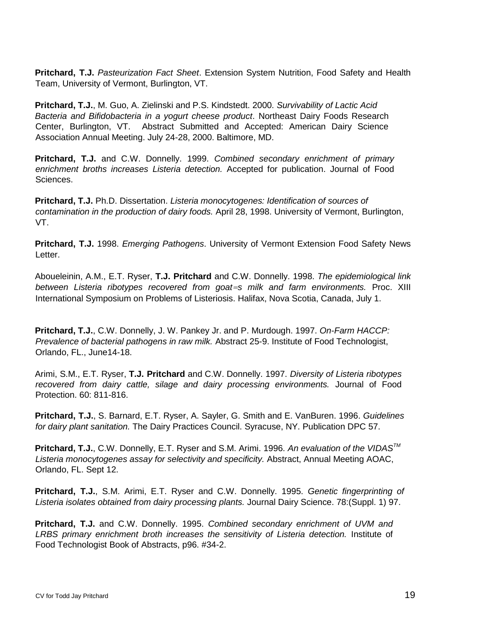**Pritchard, T.J.** *Pasteurization Fact Sheet*. Extension System Nutrition, Food Safety and Health Team, University of Vermont, Burlington, VT.

**Pritchard, T.J.**, M. Guo, A. Zielinski and P.S. Kindstedt. 2000. *Survivability of Lactic Acid Bacteria and Bifidobacteria in a yogurt cheese product*. Northeast Dairy Foods Research Center, Burlington, VT. Abstract Submitted and Accepted: American Dairy Science Association Annual Meeting. July 24-28, 2000. Baltimore, MD.

**Pritchard, T.J.** and C.W. Donnelly. 1999. *Combined secondary enrichment of primary enrichment broths increases Listeria detection.* Accepted for publication. Journal of Food Sciences.

**Pritchard, T.J.** Ph.D. Dissertation. *Listeria monocytogenes: Identification of sources of contamination in the production of dairy foods.* April 28, 1998. University of Vermont, Burlington, VT.

**Pritchard, T.J.** 1998. *Emerging Pathogens*. University of Vermont Extension Food Safety News Letter.

Aboueleinin, A.M., E.T. Ryser, **T.J. Pritchard** and C.W. Donnelly. 1998. *The epidemiological link between Listeria ribotypes recovered from goat=s milk and farm environments.* Proc. XIII International Symposium on Problems of Listeriosis. Halifax, Nova Scotia, Canada, July 1.

**Pritchard, T.J.**, C.W. Donnelly, J. W. Pankey Jr. and P. Murdough. 1997. *On-Farm HACCP: Prevalence of bacterial pathogens in raw milk.* Abstract 25-9. Institute of Food Technologist, Orlando, FL., June14-18.

Arimi, S.M., E.T. Ryser, **T.J. Pritchard** and C.W. Donnelly. 1997. *Diversity of Listeria ribotypes recovered from dairy cattle, silage and dairy processing environments.* Journal of Food Protection. 60: 811-816.

**Pritchard, T.J.**, S. Barnard, E.T. Ryser, A. Sayler, G. Smith and E. VanBuren. 1996. *Guidelines for dairy plant sanitation.* The Dairy Practices Council. Syracuse, NY. Publication DPC 57.

**Pritchard, T.J.**, C.W. Donnelly, E.T. Ryser and S.M. Arimi. 1996. *An evaluation of the VIDASTM Listeria monocytogenes assay for selectivity and specificity.* Abstract, Annual Meeting AOAC, Orlando, FL. Sept 12.

**Pritchard, T.J.**, S.M. Arimi, E.T. Ryser and C.W. Donnelly. 1995. *Genetic fingerprinting of Listeria isolates obtained from dairy processing plants.* Journal Dairy Science. 78:(Suppl. 1) 97.

**Pritchard, T.J.** and C.W. Donnelly. 1995. *Combined secondary enrichment of UVM and LRBS primary enrichment broth increases the sensitivity of Listeria detection.* Institute of Food Technologist Book of Abstracts, p96. #34-2.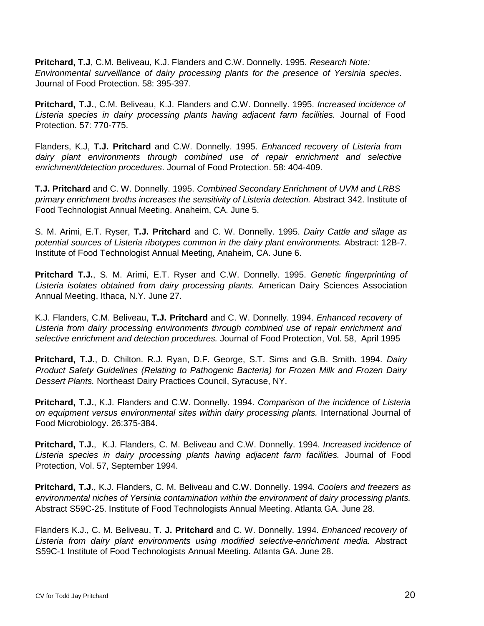**Pritchard, T.J**, C.M. Beliveau, K.J. Flanders and C.W. Donnelly. 1995. *Research Note: Environmental surveillance of dairy processing plants for the presence of Yersinia species*. Journal of Food Protection. 58: 395-397.

**Pritchard, T.J.**, C.M. Beliveau, K.J. Flanders and C.W. Donnelly. 1995. *Increased incidence of Listeria species in dairy processing plants having adjacent farm facilities.* Journal of Food Protection. 57: 770-775.

Flanders, K.J, **T.J. Pritchard** and C.W. Donnelly. 1995. *Enhanced recovery of Listeria from dairy plant environments through combined use of repair enrichment and selective enrichment/detection procedures*. Journal of Food Protection. 58: 404-409.

**T.J. Pritchard** and C. W. Donnelly. 1995. *Combined Secondary Enrichment of UVM and LRBS primary enrichment broths increases the sensitivity of Listeria detection.* Abstract 342. Institute of Food Technologist Annual Meeting. Anaheim, CA. June 5.

S. M. Arimi, E.T. Ryser, **T.J. Pritchard** and C. W. Donnelly. 1995. *Dairy Cattle and silage as potential sources of Listeria ribotypes common in the dairy plant environments.* Abstract: 12B-7. Institute of Food Technologist Annual Meeting, Anaheim, CA. June 6.

**Pritchard T.J.**, S. M. Arimi, E.T. Ryser and C.W. Donnelly. 1995. *Genetic fingerprinting of Listeria isolates obtained from dairy processing plants.* American Dairy Sciences Association Annual Meeting, Ithaca, N.Y. June 27.

K.J. Flanders, C.M. Beliveau, **T.J. Pritchard** and C. W. Donnelly. 1994. *Enhanced recovery of Listeria from dairy processing environments through combined use of repair enrichment and selective enrichment and detection procedures.* Journal of Food Protection, Vol. 58, April 1995

**Pritchard, T.J.**, D. Chilton. R.J. Ryan, D.F. George, S.T. Sims and G.B. Smith. 1994. *Dairy Product Safety Guidelines (Relating to Pathogenic Bacteria) for Frozen Milk and Frozen Dairy Dessert Plants.* Northeast Dairy Practices Council, Syracuse, NY.

**Pritchard, T.J.**, K.J. Flanders and C.W. Donnelly. 1994. *Comparison of the incidence of Listeria on equipment versus environmental sites within dairy processing plants.* International Journal of Food Microbiology. 26:375-384.

**Pritchard, T.J.**, K.J. Flanders, C. M. Beliveau and C.W. Donnelly. 1994. *Increased incidence of Listeria species in dairy processing plants having adjacent farm facilities.* Journal of Food Protection, Vol. 57, September 1994.

**Pritchard, T.J.**, K.J. Flanders, C. M. Beliveau and C.W. Donnelly. 1994. *Coolers and freezers as environmental niches of Yersinia contamination within the environment of dairy processing plants.* Abstract S59C-25. Institute of Food Technologists Annual Meeting. Atlanta GA. June 28.

Flanders K.J., C. M. Beliveau, **T. J. Pritchard** and C. W. Donnelly. 1994. *Enhanced recovery of Listeria from dairy plant environments using modified selective-enrichment media.* Abstract S59C-1 Institute of Food Technologists Annual Meeting. Atlanta GA. June 28.